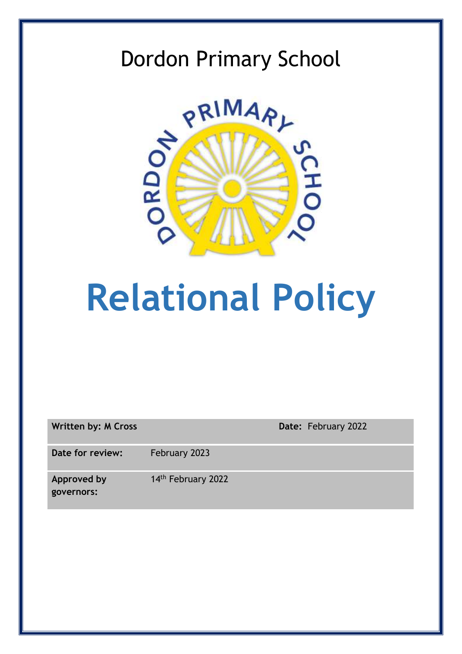## Dordon Primary School



# **Relational Policy**

| <b>Written by: M Cross</b>       | Date: February 2022 |  |
|----------------------------------|---------------------|--|
| Date for review:                 | February 2023       |  |
| <b>Approved by</b><br>governors: | 14th February 2022  |  |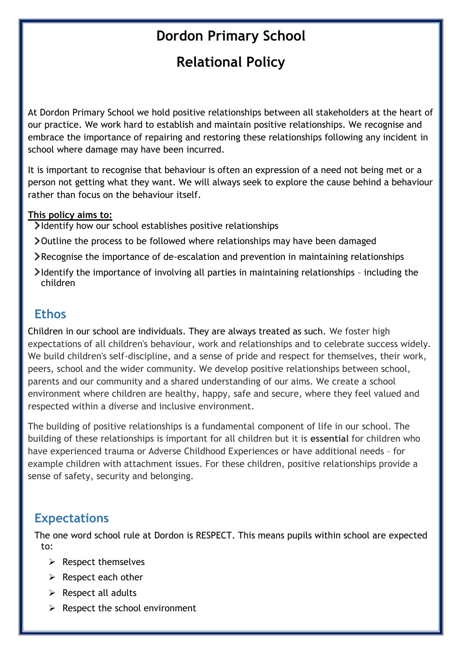## **Dordon Primary School**

## **Relational Policy**

At Dordon Primary School we hold positive relationships between all stakeholders at the heart of our practice. We work hard to establish and maintain positive relationships. We recognise and embrace the importance of repairing and restoring these relationships following any incident in school where damage may have been incurred.

It is important to recognise that behaviour is often an expression of a need not being met or a person not getting what they want. We will always seek to explore the cause behind a behaviour rather than focus on the behaviour itself.

#### **This policy aims to:**

- Identify how our school establishes positive relationships
- Outline the process to be followed where relationships may have been damaged
- Recognise the importance of de-escalation and prevention in maintaining relationships
- Identify the importance of involving all parties in maintaining relationships including the children

#### **Ethos**

Children in our school are individuals. They are always treated as such. We foster high expectations of all children's behaviour, work and relationships and to celebrate success widely. We build children's self-discipline, and a sense of pride and respect for themselves, their work, peers, school and the wider community. We develop positive relationships between school, parents and our community and a shared understanding of our aims. We create a school environment where children are healthy, happy, safe and secure, where they feel valued and respected within a diverse and inclusive environment.

The building of positive relationships is a fundamental component of life in our school. The building of these relationships is important for all children but it is **essential** for children who have experienced trauma or Adverse Childhood Experiences or have additional needs – for example children with attachment issues. For these children, positive relationships provide a sense of safety, security and belonging.

#### **Expectations**

The one word school rule at Dordon is RESPECT. This means pupils within school are expected to:

- $\triangleright$  Respect themselves
- $\triangleright$  Respect each other
- $\triangleright$  Respect all adults
- $\triangleright$  Respect the school environment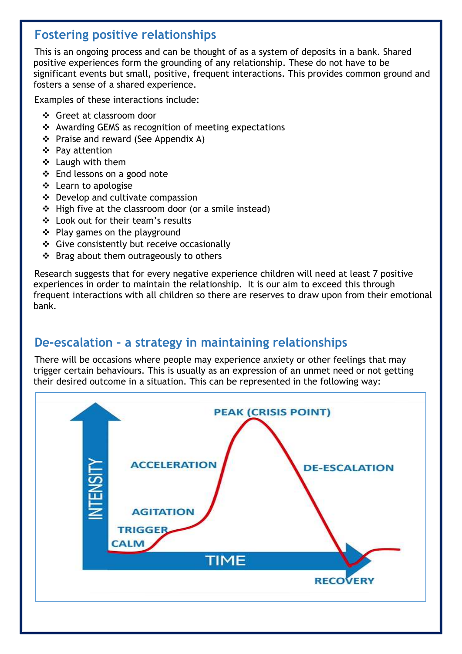#### **Fostering positive relationships**

This is an ongoing process and can be thought of as a system of deposits in a bank. Shared positive experiences form the grounding of any relationship. These do not have to be significant events but small, positive, frequent interactions. This provides common ground and fosters a sense of a shared experience.

Examples of these interactions include:

- Greet at classroom door
- $\triangleleft$  Awarding GEMS as recognition of meeting expectations
- ❖ Praise and reward (See Appendix A)
- Pay attention
- ❖ Laugh with them
- End lessons on a good note
- ❖ Learn to apologise
- ❖ Develop and cultivate compassion
- ❖ High five at the classroom door (or a smile instead)
- Look out for their team's results
- $\div$  Play games on the playground
- ❖ Give consistently but receive occasionally
- $\div$  Brag about them outrageously to others

Research suggests that for every negative experience children will need at least 7 positive experiences in order to maintain the relationship. It is our aim to exceed this through frequent interactions with all children so there are reserves to draw upon from their emotional bank.

#### **De-escalation – a strategy in maintaining relationships**

There will be occasions where people may experience anxiety or other feelings that may trigger certain behaviours. This is usually as an expression of an unmet need or not getting their desired outcome in a situation. This can be represented in the following way:

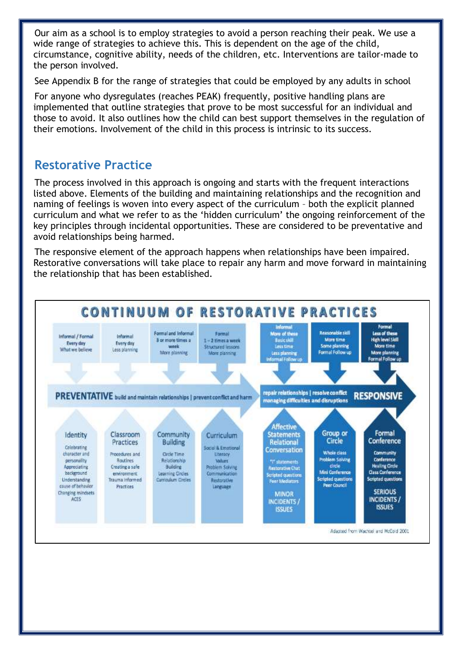Our aim as a school is to employ strategies to avoid a person reaching their peak. We use a wide range of strategies to achieve this. This is dependent on the age of the child, circumstance, cognitive ability, needs of the children, etc. Interventions are tailor-made to the person involved.

See Appendix B for the range of strategies that could be employed by any adults in school

For anyone who dysregulates (reaches PEAK) frequently, positive handling plans are implemented that outline strategies that prove to be most successful for an individual and those to avoid. It also outlines how the child can best support themselves in the regulation of their emotions. Involvement of the child in this process is intrinsic to its success.

#### **Restorative Practice**

The process involved in this approach is ongoing and starts with the frequent interactions listed above. Elements of the building and maintaining relationships and the recognition and naming of feelings is woven into every aspect of the curriculum – both the explicit planned curriculum and what we refer to as the 'hidden curriculum' the ongoing reinforcement of the key principles through incidental opportunities. These are considered to be preventative and avoid relationships being harmed.

The responsive element of the approach happens when relationships have been impaired. Restorative conversations will take place to repair any harm and move forward in maintaining the relationship that has been established.

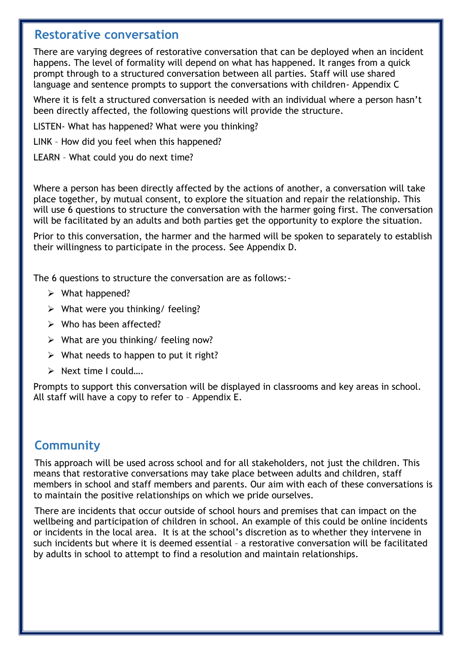#### **Restorative conversation**

There are varying degrees of restorative conversation that can be deployed when an incident happens. The level of formality will depend on what has happened. It ranges from a quick prompt through to a structured conversation between all parties. Staff will use shared language and sentence prompts to support the conversations with children- Appendix C

Where it is felt a structured conversation is needed with an individual where a person hasn't been directly affected, the following questions will provide the structure.

LISTEN- What has happened? What were you thinking?

LINK – How did you feel when this happened?

LEARN – What could you do next time?

Where a person has been directly affected by the actions of another, a conversation will take place together, by mutual consent, to explore the situation and repair the relationship. This will use 6 questions to structure the conversation with the harmer going first. The conversation will be facilitated by an adults and both parties get the opportunity to explore the situation.

Prior to this conversation, the harmer and the harmed will be spoken to separately to establish their willingness to participate in the process. See Appendix D.

The 6 questions to structure the conversation are as follows:-

- $\triangleright$  What happened?
- $\triangleright$  What were you thinking/ feeling?
- $\triangleright$  Who has been affected?
- $\triangleright$  What are you thinking/ feeling now?
- $\triangleright$  What needs to happen to put it right?
- ▶ Next time I could....

Prompts to support this conversation will be displayed in classrooms and key areas in school. All staff will have a copy to refer to – Appendix E.

#### **Community**

This approach will be used across school and for all stakeholders, not just the children. This means that restorative conversations may take place between adults and children, staff members in school and staff members and parents. Our aim with each of these conversations is to maintain the positive relationships on which we pride ourselves.

There are incidents that occur outside of school hours and premises that can impact on the wellbeing and participation of children in school. An example of this could be online incidents or incidents in the local area. It is at the school's discretion as to whether they intervene in such incidents but where it is deemed essential – a restorative conversation will be facilitated by adults in school to attempt to find a resolution and maintain relationships.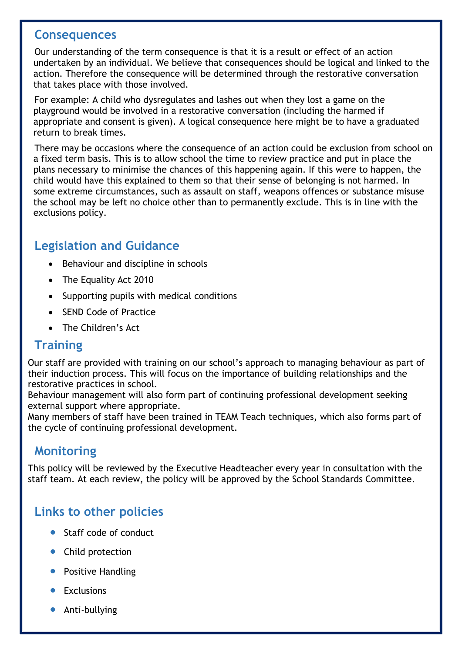#### **Consequences**

Our understanding of the term consequence is that it is a result or effect of an action undertaken by an individual. We believe that consequences should be logical and linked to the action. Therefore the consequence will be determined through the restorative conversation that takes place with those involved.

For example: A child who dysregulates and lashes out when they lost a game on the playground would be involved in a restorative conversation (including the harmed if appropriate and consent is given). A logical consequence here might be to have a graduated return to break times.

There may be occasions where the consequence of an action could be exclusion from school on a fixed term basis. This is to allow school the time to review practice and put in place the plans necessary to minimise the chances of this happening again. If this were to happen, the child would have this explained to them so that their sense of belonging is not harmed. In some extreme circumstances, such as assault on staff, weapons offences or substance misuse the school may be left no choice other than to permanently exclude. This is in line with the exclusions policy.

#### **Legislation and Guidance**

- Behaviour and discipline in schools
- The Equality Act 2010
- Supporting pupils with medical conditions
- SEND Code of Practice
- The Children's Act

#### **Training**

Our staff are provided with training on our school's approach to managing behaviour as part of their induction process. This will focus on the importance of building relationships and the restorative practices in school.

Behaviour management will also form part of continuing professional development seeking external support where appropriate.

Many members of staff have been trained in TEAM Teach techniques, which also forms part of the cycle of continuing professional development.

#### **Monitoring**

This policy will be reviewed by the Executive Headteacher every year in consultation with the staff team. At each review, the policy will be approved by the School Standards Committee.

#### **Links to other policies**

- Staff code of conduct
- Child protection
- Positive Handling
- Exclusions
- **•** Anti-bullying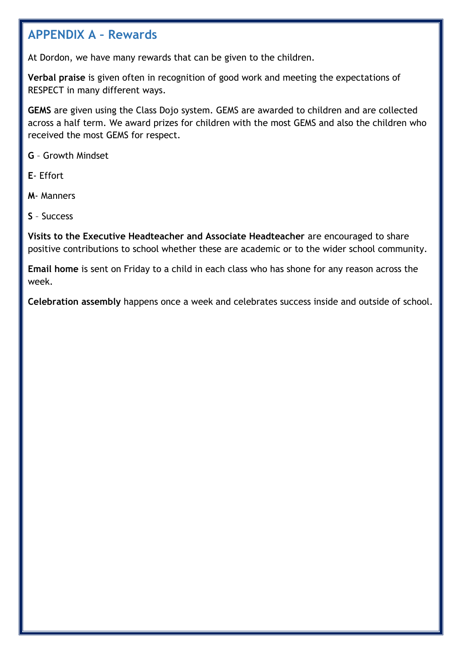#### **APPENDIX A – Rewards**

At Dordon, we have many rewards that can be given to the children.

**Verbal praise** is given often in recognition of good work and meeting the expectations of RESPECT in many different ways.

**GEMS** are given using the Class Dojo system. GEMS are awarded to children and are collected across a half term. We award prizes for children with the most GEMS and also the children who received the most GEMS for respect.

**G** – Growth Mindset

**E**- Effort

**M**- Manners

**S** – Success

**Visits to the Executive Headteacher and Associate Headteacher** are encouraged to share positive contributions to school whether these are academic or to the wider school community.

**Email home** is sent on Friday to a child in each class who has shone for any reason across the week.

**Celebration assembly** happens once a week and celebrates success inside and outside of school.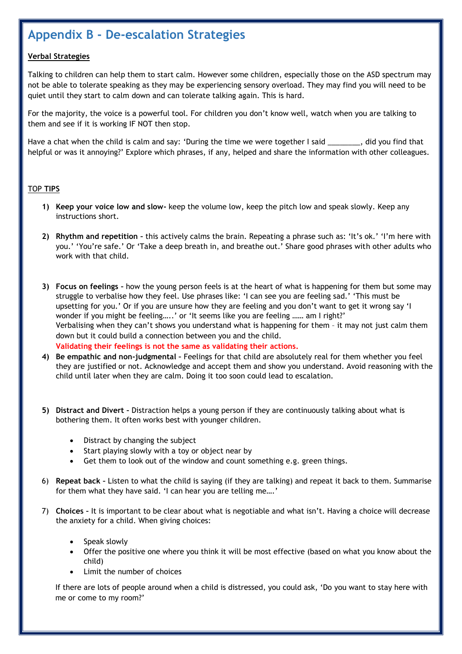#### **Appendix B - De-escalation Strategies**

#### **Verbal Strategies**

Talking to children can help them to start calm. However some children, especially those on the ASD spectrum may not be able to tolerate speaking as they may be experiencing sensory overload. They may find you will need to be quiet until they start to calm down and can tolerate talking again. This is hard.

For the majority, the voice is a powerful tool. For children you don't know well, watch when you are talking to them and see if it is working IF NOT then stop.

Have a chat when the child is calm and say: 'During the time we were together I said  $\ddot{\hspace{2cm}}$ , did you find that helpful or was it annoying?' Explore which phrases, if any, helped and share the information with other colleagues.

#### TOP **TIPS**

- **1) Keep your voice low and slow-** keep the volume low, keep the pitch low and speak slowly. Keep any instructions short.
- **2) Rhythm and repetition –** this actively calms the brain. Repeating a phrase such as: 'It's ok.' 'I'm here with you.' 'You're safe.' Or 'Take a deep breath in, and breathe out.' Share good phrases with other adults who work with that child.
- **3) Focus on feelings –** how the young person feels is at the heart of what is happening for them but some may struggle to verbalise how they feel. Use phrases like: 'I can see you are feeling sad.' 'This must be upsetting for you.' Or if you are unsure how they are feeling and you don't want to get it wrong say 'I wonder if you might be feeling…..' or 'It seems like you are feeling …… am I right?' Verbalising when they can't shows you understand what is happening for them – it may not just calm them down but it could build a connection between you and the child. **Validating their feelings is not the same as validating their actions.**
- **4) Be empathic and non-judgmental –** Feelings for that child are absolutely real for them whether you feel they are justified or not. Acknowledge and accept them and show you understand. Avoid reasoning with the child until later when they are calm. Doing it too soon could lead to escalation.
- **5) Distract and Divert –** Distraction helps a young person if they are continuously talking about what is bothering them. It often works best with younger children.
	- Distract by changing the subject
	- Start playing slowly with a toy or object near by
	- Get them to look out of the window and count something e.g. green things.
- 6) **Repeat back –** Listen to what the child is saying (if they are talking) and repeat it back to them. Summarise for them what they have said. 'I can hear you are telling me….'
- 7) **Choices –** It is important to be clear about what is negotiable and what isn't. Having a choice will decrease the anxiety for a child. When giving choices:
	- Speak slowly
	- Offer the positive one where you think it will be most effective (based on what you know about the child)
	- Limit the number of choices

If there are lots of people around when a child is distressed, you could ask, 'Do you want to stay here with me or come to my room?'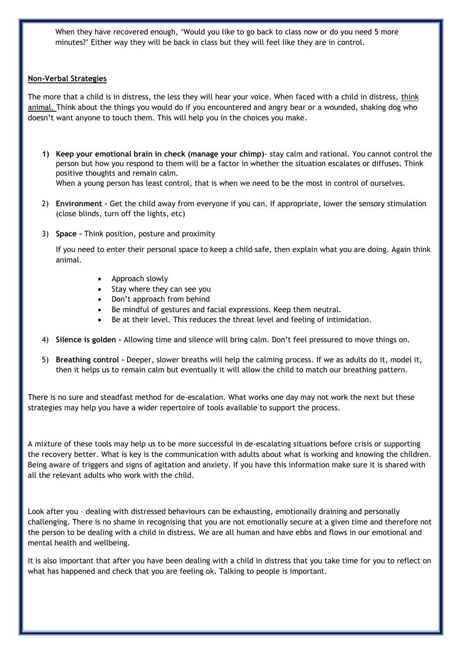When they have recovered enough, 'Would you like to go back to class now or do you need 5 more minutes?' Either way they will be back in class but they will feel like they are in control.

#### **Non-Verbal Strategies**

The more that a child is in distress, the less they will hear your voice. When faced with a child in distress, think animal. Think about the things you would do if you encountered and angry bear or a wounded, shaking dog who doesn't want anyone to touch them. This will help you in the choices you make.

- **1) Keep your emotional brain in check (manage your chimp)** stay calm and rational. You cannot control the person but how you respond to them will be a factor in whether the situation escalates or diffuses. Think positive thoughts and remain calm. When a young person has least control, that is when we need to be the most in control of ourselves.
- 2) **Environment –** Get the child away from everyone if you can. If appropriate, lower the sensory stimulation (close blinds, turn off the lights, etc)
- 3) **Space –** Think position, posture and proximity

If you need to enter their personal space to keep a child safe, then explain what you are doing. Again think animal.

- Approach slowly
- Stay where they can see you
- Don't approach from behind
- Be mindful of gestures and facial expressions. Keep them neutral.
- Be at their level. This reduces the threat level and feeling of intimidation.
- 4) **Silence is golden –** Allowing time and silence will bring calm. Don't feel pressured to move things on.
- 5) **Breathing control –** Deeper, slower breaths will help the calming process. If we as adults do it, model it, then it helps us to remain calm but eventually it will allow the child to match our breathing pattern.

There is no sure and steadfast method for de-escalation. What works one day may not work the next but these strategies may help you have a wider repertoire of tools available to support the process.

A mixture of these tools may help us to be more successful in de-escalating situations before crisis or supporting the recovery better. What is key is the communication with adults about what is working and knowing the children. Being aware of triggers and signs of agitation and anxiety. If you have this information make sure it is shared with all the relevant adults who work with the child.

Look after you – dealing with distressed behaviours can be exhausting, emotionally draining and personally challenging. There is no shame in recognising that you are not emotionally secure at a given time and therefore not the person to be dealing with a child in distress. We are all human and have ebbs and flows in our emotional and mental health and wellbeing.

It is also important that after you have been dealing with a child in distress that you take time for you to reflect on what has happened and check that you are feeling ok. Talking to people is important.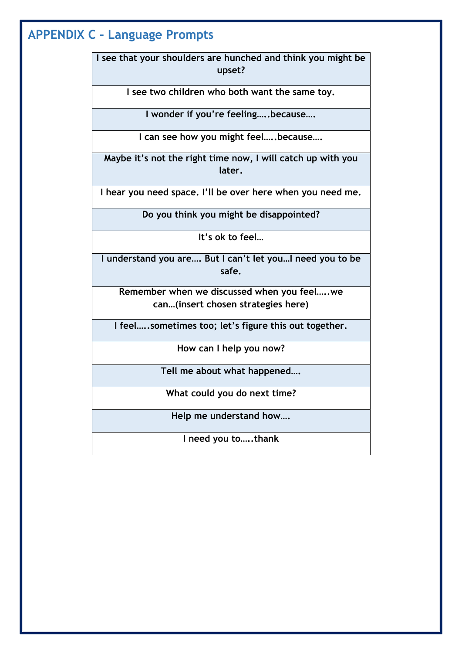## **APPENDIX C – Language Prompts**

**I see that your shoulders are hunched and think you might be upset?**

**I see two children who both want the same toy.**

**I wonder if you're feeling…..because….**

**I can see how you might feel…..because….**

**Maybe it's not the right time now, I will catch up with you later.**

**I hear you need space. I'll be over here when you need me.**

**Do you think you might be disappointed?**

**It's ok to feel…**

**I understand you are…. But I can't let you…I need you to be safe.**

**Remember when we discussed when you feel…..we can…(insert chosen strategies here)**

**I feel…..sometimes too; let's figure this out together.**

**How can I help you now?**

**Tell me about what happened….**

**What could you do next time?**

**Help me understand how….**

**I need you to…..thank**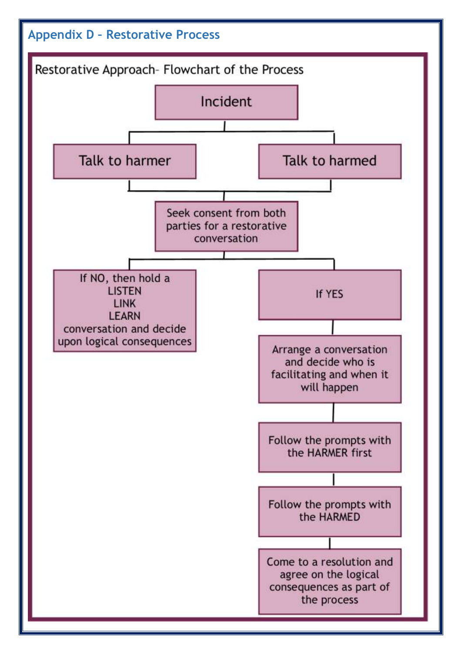